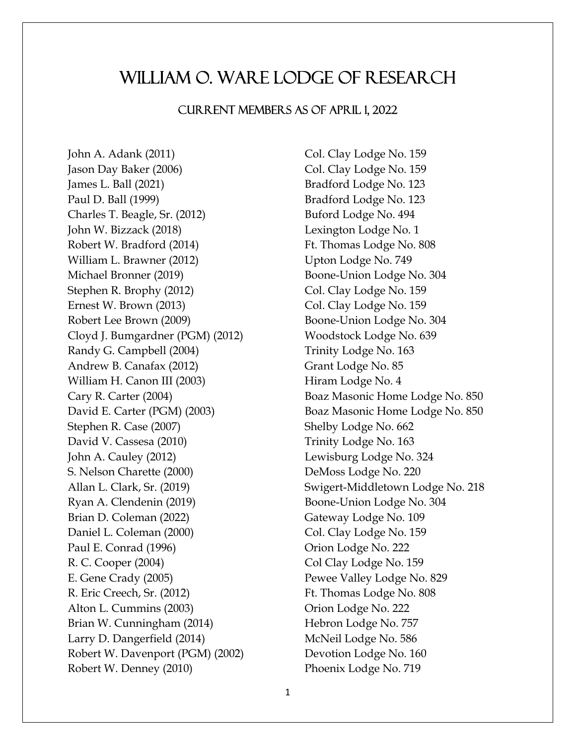## William O. Ware Lodge of Research

## Current Members as of April 1, 2022

John A. Adank (2011) Col. Clay Lodge No. 159 Jason Day Baker (2006) Col. Clay Lodge No. 159 James L. Ball (2021) Bradford Lodge No. 123 Paul D. Ball (1999) Bradford Lodge No. 123 Charles T. Beagle, Sr. (2012) Buford Lodge No. 494 John W. Bizzack (2018) Lexington Lodge No. 1 Robert W. Bradford (2014) Ft. Thomas Lodge No. 808 William L. Brawner (2012) Upton Lodge No. 749 Michael Bronner (2019) Boone-Union Lodge No. 304 Stephen R. Brophy (2012) Col. Clay Lodge No. 159 Ernest W. Brown (2013) Col. Clay Lodge No. 159 Robert Lee Brown (2009) Boone-Union Lodge No. 304 Cloyd J. Bumgardner (PGM) (2012) Woodstock Lodge No. 639 Randy G. Campbell (2004) Trinity Lodge No. 163 Andrew B. Canafax (2012) Grant Lodge No. 85 William H. Canon III (2003) Hiram Lodge No. 4 Cary R. Carter (2004) Boaz Masonic Home Lodge No. 850 David E. Carter (PGM) (2003) Boaz Masonic Home Lodge No. 850 Stephen R. Case (2007) Shelby Lodge No. 662 David V. Cassesa (2010) Trinity Lodge No. 163 John A. Cauley (2012) Lewisburg Lodge No. 324 S. Nelson Charette (2000) DeMoss Lodge No. 220 Allan L. Clark, Sr. (2019) Swigert-Middletown Lodge No. 218 Ryan A. Clendenin (2019) Boone-Union Lodge No. 304 Brian D. Coleman (2022) Gateway Lodge No. 109 Daniel L. Coleman (2000) Col. Clay Lodge No. 159 Paul E. Conrad (1996) Crion Lodge No. 222 R. C. Cooper (2004) Col Clay Lodge No. 159 E. Gene Crady (2005) Pewee Valley Lodge No. 829 R. Eric Creech, Sr. (2012) Ft. Thomas Lodge No. 808 Alton L. Cummins (2003) Orion Lodge No. 222 Brian W. Cunningham (2014) Hebron Lodge No. 757 Larry D. Dangerfield (2014) McNeil Lodge No. 586 Robert W. Davenport (PGM) (2002) Devotion Lodge No. 160 Robert W. Denney (2010) Phoenix Lodge No. 719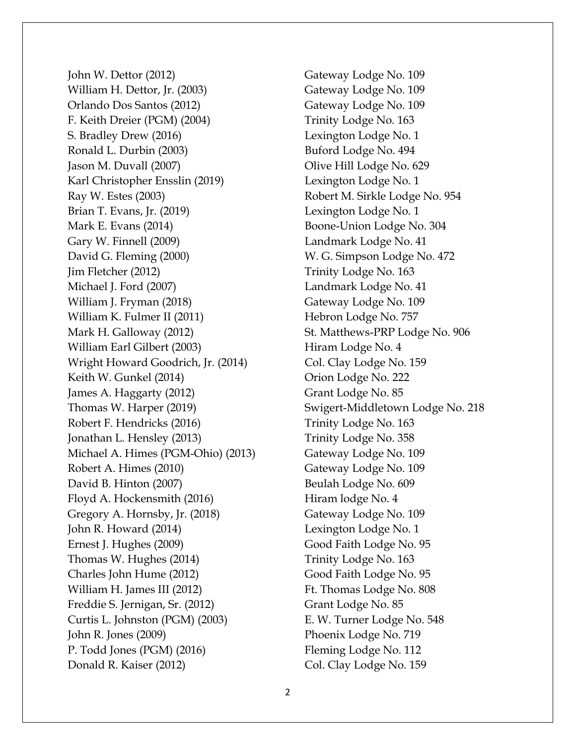John W. Dettor (2012) Gateway Lodge No. 109 William H. Dettor, Jr. (2003) Gateway Lodge No. 109 Orlando Dos Santos (2012) Gateway Lodge No. 109 F. Keith Dreier (PGM) (2004) Trinity Lodge No. 163 S. Bradley Drew (2016) Lexington Lodge No. 1 Ronald L. Durbin (2003) Buford Lodge No. 494 Jason M. Duvall (2007) Olive Hill Lodge No. 629 Karl Christopher Ensslin (2019) Lexington Lodge No. 1 Ray W. Estes (2003) Robert M. Sirkle Lodge No. 954 Brian T. Evans, Jr. (2019) Lexington Lodge No. 1 Mark E. Evans (2014) Boone-Union Lodge No. 304 Gary W. Finnell (2009) Landmark Lodge No. 41 David G. Fleming (2000) W. G. Simpson Lodge No. 472 Jim Fletcher (2012) Trinity Lodge No. 163 Michael J. Ford (2007) Landmark Lodge No. 41 William J. Fryman (2018) Gateway Lodge No. 109 William K. Fulmer II (2011) Hebron Lodge No. 757 Mark H. Galloway (2012) St. Matthews-PRP Lodge No. 906 William Earl Gilbert (2003) Hiram Lodge No. 4 Wright Howard Goodrich, Jr. (2014) Col. Clay Lodge No. 159 Keith W. Gunkel (2014) Crion Lodge No. 222 James A. Haggarty (2012) Grant Lodge No. 85 Thomas W. Harper (2019) Swigert-Middletown Lodge No. 218 Robert F. Hendricks (2016) Trinity Lodge No. 163 Jonathan L. Hensley (2013) Trinity Lodge No. 358 Michael A. Himes (PGM-Ohio) (2013) Gateway Lodge No. 109 Robert A. Himes (2010) Gateway Lodge No. 109 David B. Hinton (2007) Beulah Lodge No. 609 Floyd A. Hockensmith (2016) Hiram lodge No. 4 Gregory A. Hornsby, Jr. (2018) Gateway Lodge No. 109 John R. Howard (2014) Lexington Lodge No. 1 Ernest J. Hughes (2009) Good Faith Lodge No. 95 Thomas W. Hughes (2014) Trinity Lodge No. 163 Charles John Hume (2012) Good Faith Lodge No. 95 William H. James III (2012) Ft. Thomas Lodge No. 808 Freddie S. Jernigan, Sr. (2012) Grant Lodge No. 85 Curtis L. Johnston (PGM) (2003) E. W. Turner Lodge No. 548 John R. Jones (2009) Phoenix Lodge No. 719 P. Todd Jones (PGM) (2016) Fleming Lodge No. 112 Donald R. Kaiser (2012) Col. Clay Lodge No. 159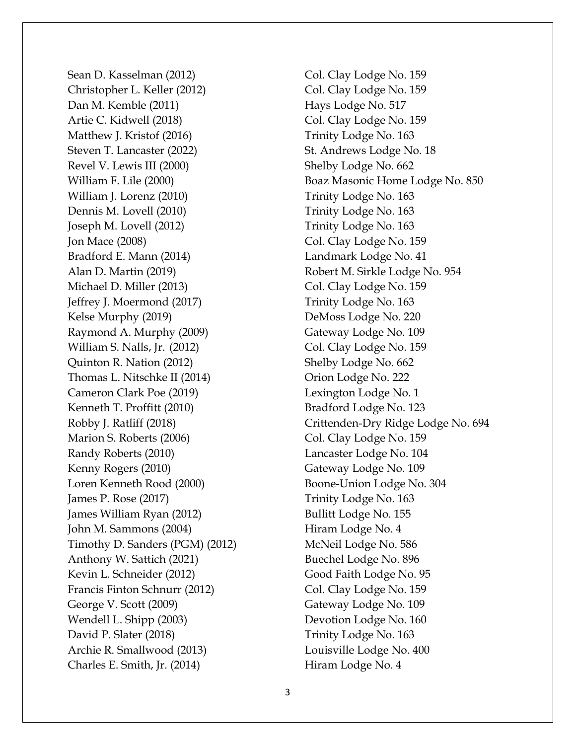Sean D. Kasselman (2012) Col. Clay Lodge No. 159 Christopher L. Keller (2012) Col. Clay Lodge No. 159 Dan M. Kemble (2011) Hays Lodge No. 517 Artie C. Kidwell (2018) Col. Clay Lodge No. 159 Matthew J. Kristof (2016) Trinity Lodge No. 163 Steven T. Lancaster (2022) St. Andrews Lodge No. 18 Revel V. Lewis III (2000) Shelby Lodge No. 662 William J. Lorenz (2010) Trinity Lodge No. 163 Dennis M. Lovell (2010) Trinity Lodge No. 163 Joseph M. Lovell (2012) Trinity Lodge No. 163 Jon Mace (2008) Col. Clay Lodge No. 159 Bradford E. Mann (2014) Landmark Lodge No. 41 Alan D. Martin (2019) Robert M. Sirkle Lodge No. 954 Michael D. Miller (2013) Col. Clay Lodge No. 159 Jeffrey J. Moermond (2017) Trinity Lodge No. 163 Kelse Murphy (2019) DeMoss Lodge No. 220 Raymond A. Murphy (2009) Gateway Lodge No. 109 William S. Nalls, Jr. (2012) Col. Clay Lodge No. 159 Quinton R. Nation (2012) Shelby Lodge No. 662 Thomas L. Nitschke II (2014) Orion Lodge No. 222 Cameron Clark Poe (2019) Lexington Lodge No. 1 Kenneth T. Proffitt (2010) Bradford Lodge No. 123 Marion S. Roberts (2006) Col. Clay Lodge No. 159 Randy Roberts (2010) Lancaster Lodge No. 104 Kenny Rogers (2010) Gateway Lodge No. 109 Loren Kenneth Rood (2000) Boone-Union Lodge No. 304 James P. Rose (2017) Trinity Lodge No. 163 James William Ryan (2012) Bullitt Lodge No. 155 John M. Sammons (2004) Hiram Lodge No. 4 Timothy D. Sanders (PGM) (2012) McNeil Lodge No. 586 Anthony W. Sattich (2021) Buechel Lodge No. 896 Kevin L. Schneider (2012) Good Faith Lodge No. 95 Francis Finton Schnurr (2012) Col. Clay Lodge No. 159 George V. Scott (2009) Gateway Lodge No. 109 Wendell L. Shipp (2003) Devotion Lodge No. 160 David P. Slater (2018) Trinity Lodge No. 163 Archie R. Smallwood (2013) Louisville Lodge No. 400 Charles E. Smith, Jr. (2014) Hiram Lodge No. 4

William F. Lile (2000) Boaz Masonic Home Lodge No. 850 Robby J. Ratliff (2018) Crittenden-Dry Ridge Lodge No. 694